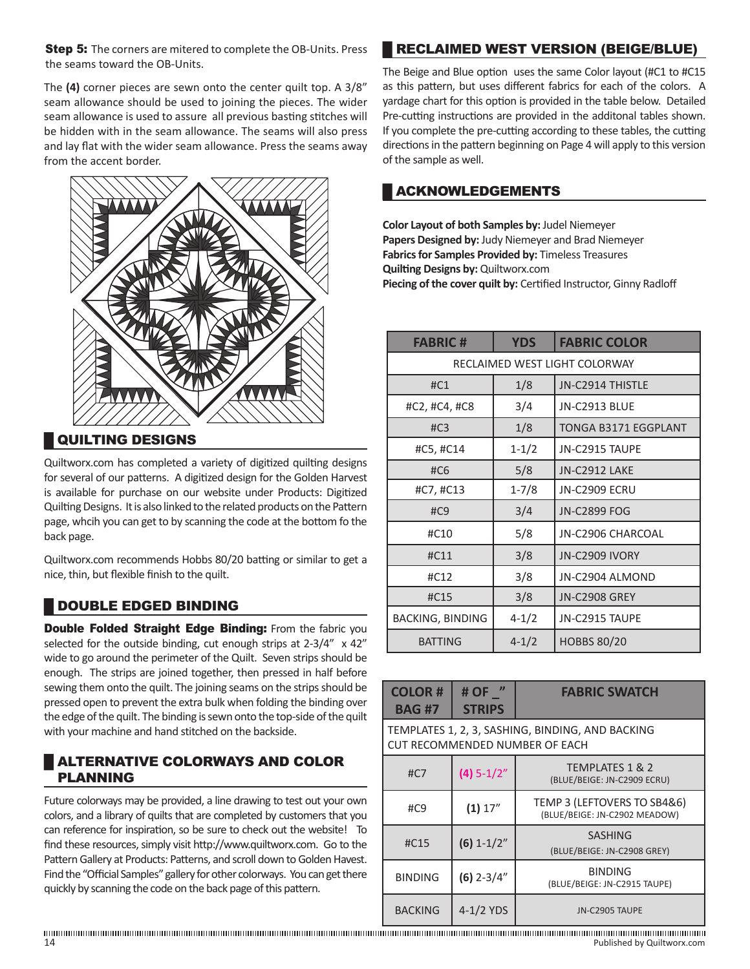**Step 5:** The corners are mitered to complete the OB-Units. Press the seams toward the OB-Units.

The **(4)** corner pieces are sewn onto the center quilt top. A 3/8" seam allowance should be used to joining the pieces. The wider seam allowance is used to assure all previous basting stitches will be hidden with in the seam allowance. The seams will also press and lay flat with the wider seam allowance. Press the seams away from the accent border.



#### **QUILTING DESIGNS**

Quiltworx.com has completed a variety of digitized quilting designs for several of our patterns. A digitized design for the Golden Harvest is available for purchase on our website under Products: Digitized Quilting Designs. It is also linked to the related products on the Pattern page, whcih you can get to by scanning the code at the bottom fo the back page.

Quiltworx.com recommends Hobbs 80/20 batting or similar to get a nice, thin, but flexible finish to the quilt.

# **DOUBLE EDGED BINDING**

**Double Folded Straight Edge Binding: From the fabric you** selected for the outside binding, cut enough strips at 2-3/4" x 42" wide to go around the perimeter of the Quilt. Seven strips should be enough. The strips are joined together, then pressed in half before sewing them onto the quilt. The joining seams on the strips should be pressed open to prevent the extra bulk when folding the binding over the edge of the quilt. The binding is sewn onto the top-side of the quilt with your machine and hand stitched on the backside.

## **ALTERNATIVE COLORWAYS AND COLOR** PLANNING

Future colorways may be provided, a line drawing to test out your own colors, and a library of quilts that are completed by customers that you can reference for inspiration, so be sure to check out the website! To find these resources, simply visit http://www.quiltworx.com. Go to the Pattern Gallery at Products: Patterns, and scroll down to Golden Havest. Find the "Official Samples" gallery for other colorways. You can get there quickly by scanning the code on the back page of this pattern.

#### **E RECLAIMED WEST VERSION (BEIGE/BLUE)**

The Beige and Blue option uses the same Color layout (#C1 to #C15 as this pattern, but uses different fabrics for each of the colors. A yardage chart for this option is provided in the table below. Detailed Pre-cutting instructions are provided in the additonal tables shown. If you complete the pre-cutting according to these tables, the cutting directions in the pattern beginning on Page 4 will apply to this version of the sample as well.

## **ACKNOWLEDGEMENTS**

**Color Layout of both Samples by:** Judel Niemeyer **Papers Designed by:** Judy Niemeyer and Brad Niemeyer **Fabrics for Samples Provided by:** Timeless Treasures **Quilting Designs by:** Quiltworx.com Piecing of the cover quilt by: Certified Instructor, Ginny Radloff

| <b>FABRIC#</b>                | <b>YDS</b> | <b>FABRIC COLOR</b>      |  |  |
|-------------------------------|------------|--------------------------|--|--|
| RECLAIMED WEST LIGHT COLORWAY |            |                          |  |  |
| #C1                           | 1/8        | <b>JN-C2914 THISTLE</b>  |  |  |
| #C2, #C4, #C8                 | 3/4        | <b>JN-C2913 BLUE</b>     |  |  |
| #C <sub>3</sub>               | 1/8        | TONGA B3171 EGGPLANT     |  |  |
| #C5, #C14                     | $1 - 1/2$  | JN-C2915 TAUPE           |  |  |
| #C6                           | 5/8        | JN-C2912 LAKE            |  |  |
| #C7, #C13                     | $1 - 7/8$  | <b>JN-C2909 ECRU</b>     |  |  |
| #C9                           | 3/4        | <b>JN-C2899 FOG</b>      |  |  |
| #C10                          | 5/8        | <b>JN-C2906 CHARCOAL</b> |  |  |
| #C11                          | 3/8        | JN-C2909 IVORY           |  |  |
| #C12                          | 3/8        | JN-C2904 ALMOND          |  |  |
| #C15                          | 3/8        | <b>JN-C2908 GREY</b>     |  |  |
| <b>BACKING, BINDING</b>       | $4 - 1/2$  | JN-C2915 TAUPE           |  |  |
| <b>BATTING</b>                | $4 - 1/2$  | <b>HOBBS 80/20</b>       |  |  |

| <b>COLOR#</b><br><b>BAG#7</b>                                                      | # OF<br><b>STRIPS</b> | <b>FABRIC SWATCH</b>                                         |  |  |  |
|------------------------------------------------------------------------------------|-----------------------|--------------------------------------------------------------|--|--|--|
| TEMPLATES 1, 2, 3, SASHING, BINDING, AND BACKING<br>CUT RECOMMENDED NUMBER OF EACH |                       |                                                              |  |  |  |
| #C7                                                                                | $(4) 5 - 1/2"$        | <b>TEMPLATES 1 &amp; 2</b><br>(BLUE/BEIGE: JN-C2909 ECRU)    |  |  |  |
| #C9                                                                                | $(1)$ 17"             | TEMP 3 (LEFTOVERS TO SB4&6)<br>(BLUE/BEIGE: JN-C2902 MEADOW) |  |  |  |
| #C15                                                                               | $(6)$ 1-1/2"          | <b>SASHING</b><br>(BLUE/BEIGE: JN-C2908 GREY)                |  |  |  |
| <b>BINDING</b>                                                                     | $(6)$ 2-3/4"          | <b>BINDING</b><br>(BLUE/BEIGE: JN-C2915 TAUPE)               |  |  |  |
| <b>BACKING</b>                                                                     | $4-1/2$ YDS           | JN-C2905 TAUPE                                               |  |  |  |

Published by Quiltworx.com